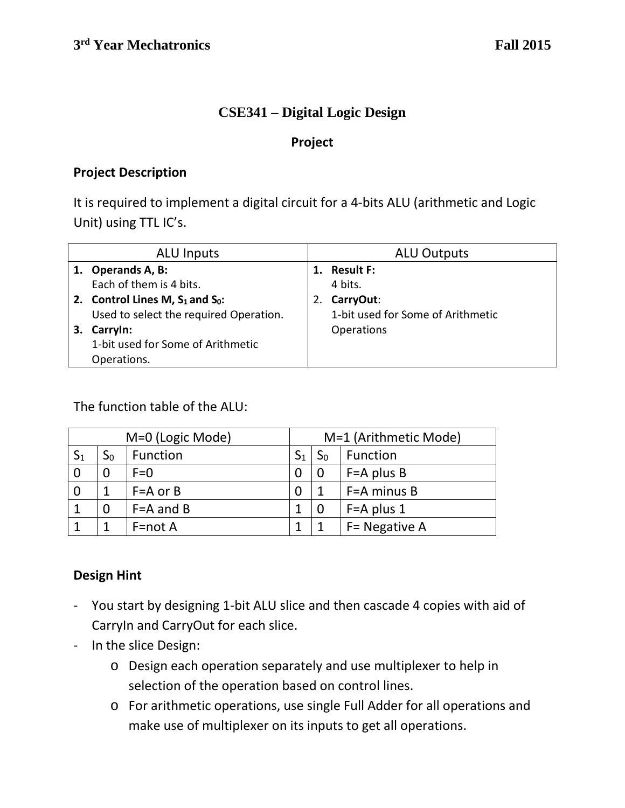### **CSE341 – Digital Logic Design**

#### **Project**

### **Project Description**

It is required to implement a digital circuit for a 4-bits ALU (arithmetic and Logic Unit) using TTL IC's.

| ALU Inputs |                                        | <b>ALU Outputs</b> |                                   |  |
|------------|----------------------------------------|--------------------|-----------------------------------|--|
|            | 1. Operands A, B:                      | 1.                 | <b>Result F:</b>                  |  |
|            | Each of them is 4 bits.                |                    | 4 bits.                           |  |
|            | 2. Control Lines M, $S_1$ and $S_0$ :  |                    | CarryOut:                         |  |
|            | Used to select the required Operation. |                    | 1-bit used for Some of Arithmetic |  |
| З.         | Carryln:                               |                    | <b>Operations</b>                 |  |
|            | 1-bit used for Some of Arithmetic      |                    |                                   |  |
|            | Operations.                            |                    |                                   |  |

The function table of the ALU:

| M=0 (Logic Mode) |                |               |                | M=1 (Arithmetic Mode) |                |  |
|------------------|----------------|---------------|----------------|-----------------------|----------------|--|
| $S_1$            | $\mathsf{S}_0$ | Function      | $\mathsf{S}_1$ | ЭO                    | Function       |  |
|                  | 0              | $F=0$         |                |                       | $F = A$ plus B |  |
|                  | 1              | $F = A$ or B  |                |                       | F=A minus B    |  |
|                  | $\overline{0}$ | $F = A$ and B |                |                       | $F = A$ plus 1 |  |
|                  |                | $F = not A$   |                |                       | F = Negative A |  |

### **Design Hint**

- You start by designing 1-bit ALU slice and then cascade 4 copies with aid of CarryIn and CarryOut for each slice.
- In the slice Design:
	- o Design each operation separately and use multiplexer to help in selection of the operation based on control lines.
	- o For arithmetic operations, use single Full Adder for all operations and make use of multiplexer on its inputs to get all operations.